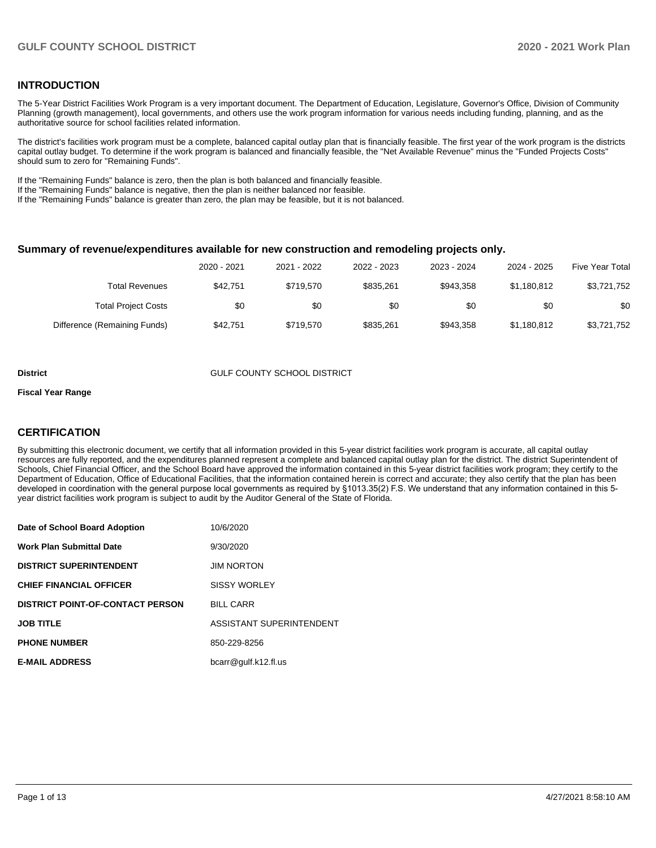## **INTRODUCTION**

The 5-Year District Facilities Work Program is a very important document. The Department of Education, Legislature, Governor's Office, Division of Community Planning (growth management), local governments, and others use the work program information for various needs including funding, planning, and as the authoritative source for school facilities related information.

The district's facilities work program must be a complete, balanced capital outlay plan that is financially feasible. The first year of the work program is the districts capital outlay budget. To determine if the work program is balanced and financially feasible, the "Net Available Revenue" minus the "Funded Projects Costs" should sum to zero for "Remaining Funds".

If the "Remaining Funds" balance is zero, then the plan is both balanced and financially feasible.

If the "Remaining Funds" balance is negative, then the plan is neither balanced nor feasible.

If the "Remaining Funds" balance is greater than zero, the plan may be feasible, but it is not balanced.

#### **Summary of revenue/expenditures available for new construction and remodeling projects only.**

| <b>Five Year Total</b> | 2024 - 2025 | 2023 - 2024 | 2022 - 2023 | 2021 - 2022 | 2020 - 2021 |                              |
|------------------------|-------------|-------------|-------------|-------------|-------------|------------------------------|
| \$3,721,752            | \$1.180.812 | \$943.358   | \$835.261   | \$719.570   | \$42.751    | Total Revenues               |
| \$0                    | \$0         | \$0         | \$0         | \$0         | \$0         | <b>Total Project Costs</b>   |
| \$3,721,752            | \$1,180,812 | \$943.358   | \$835.261   | \$719.570   | \$42,751    | Difference (Remaining Funds) |

#### **District COUNTY SCHOOL DISTRICT**

#### **Fiscal Year Range**

## **CERTIFICATION**

By submitting this electronic document, we certify that all information provided in this 5-year district facilities work program is accurate, all capital outlay resources are fully reported, and the expenditures planned represent a complete and balanced capital outlay plan for the district. The district Superintendent of Schools, Chief Financial Officer, and the School Board have approved the information contained in this 5-year district facilities work program; they certify to the Department of Education, Office of Educational Facilities, that the information contained herein is correct and accurate; they also certify that the plan has been developed in coordination with the general purpose local governments as required by §1013.35(2) F.S. We understand that any information contained in this 5 year district facilities work program is subject to audit by the Auditor General of the State of Florida.

| Date of School Board Adoption           | 10/6/2020                |
|-----------------------------------------|--------------------------|
| <b>Work Plan Submittal Date</b>         | 9/30/2020                |
| <b>DISTRICT SUPERINTENDENT</b>          | <b>JIM NORTON</b>        |
| <b>CHIEF FINANCIAL OFFICER</b>          | <b>SISSY WORLEY</b>      |
| <b>DISTRICT POINT-OF-CONTACT PERSON</b> | <b>BILL CARR</b>         |
| <b>JOB TITLE</b>                        | ASSISTANT SUPERINTENDENT |
| <b>PHONE NUMBER</b>                     | 850-229-8256             |
| <b>E-MAIL ADDRESS</b>                   | bcarr@gulf.k12.fl.us     |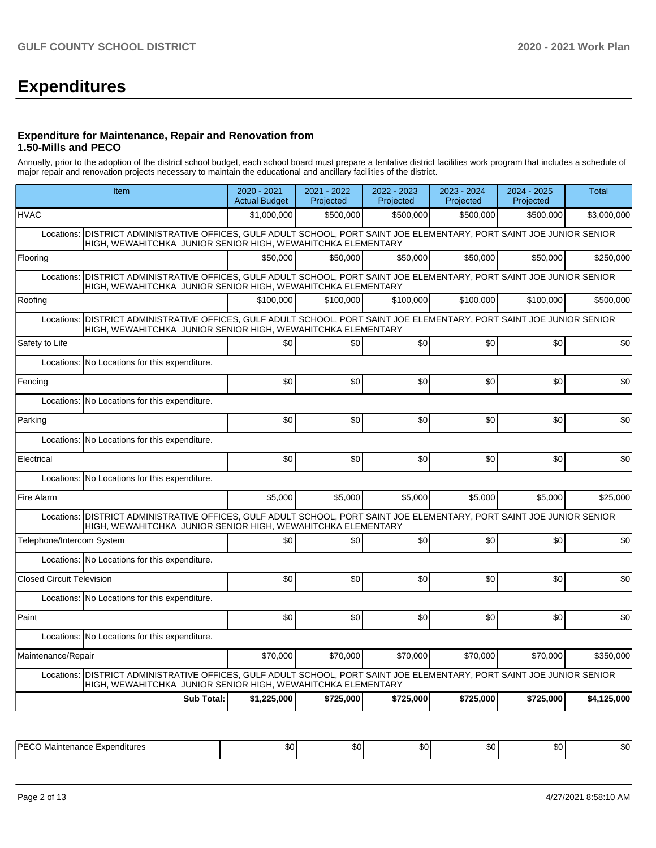# **Expenditures**

## **Expenditure for Maintenance, Repair and Renovation from 1.50-Mills and PECO**

Annually, prior to the adoption of the district school budget, each school board must prepare a tentative district facilities work program that includes a schedule of major repair and renovation projects necessary to maintain the educational and ancillary facilities of the district.

| Item                                                                                                                                                                                      | $2020 - 2021$<br><b>Actual Budget</b> | 2021 - 2022<br>Projected | 2022 - 2023<br>Projected | 2023 - 2024<br>Projected | $2024 - 2025$<br>Projected | <b>Total</b> |
|-------------------------------------------------------------------------------------------------------------------------------------------------------------------------------------------|---------------------------------------|--------------------------|--------------------------|--------------------------|----------------------------|--------------|
| <b>HVAC</b>                                                                                                                                                                               | \$1,000,000                           | \$500.000                | \$500,000                | \$500,000                | \$500,000                  | \$3,000,000  |
| Locations: DISTRICT ADMINISTRATIVE OFFICES, GULF ADULT SCHOOL, PORT SAINT JOE ELEMENTARY, PORT SAINT JOE JUNIOR SENIOR<br>HIGH, WEWAHITCHKA JUNIOR SENIOR HIGH, WEWAHITCHKA ELEMENTARY    |                                       |                          |                          |                          |                            |              |
| Flooring                                                                                                                                                                                  | \$50,000                              | \$50,000                 | \$50,000                 | \$50,000                 | \$50,000                   | \$250,000    |
| DISTRICT ADMINISTRATIVE OFFICES, GULF ADULT SCHOOL, PORT SAINT JOE ELEMENTARY, PORT SAINT JOE JUNIOR SENIOR<br>Locations:<br>HIGH, WEWAHITCHKA JUNIOR SENIOR HIGH, WEWAHITCHKA ELEMENTARY |                                       |                          |                          |                          |                            |              |
| Roofing                                                                                                                                                                                   | \$100,000                             | \$100,000                | \$100,000                | \$100,000                | \$100,000                  | \$500,000    |
| DISTRICT ADMINISTRATIVE OFFICES, GULF ADULT SCHOOL, PORT SAINT JOE ELEMENTARY, PORT SAINT JOE JUNIOR SENIOR<br>Locations:<br>HIGH, WEWAHITCHKA JUNIOR SENIOR HIGH, WEWAHITCHKA ELEMENTARY |                                       |                          |                          |                          |                            |              |
| Safety to Life                                                                                                                                                                            | \$0                                   | \$0                      | \$0                      | \$0                      | \$0                        | \$0          |
| Locations: No Locations for this expenditure.                                                                                                                                             |                                       |                          |                          |                          |                            |              |
| Fencing                                                                                                                                                                                   | \$0                                   | \$0                      | \$0                      | \$0                      | \$0                        | \$0          |
| Locations: No Locations for this expenditure.                                                                                                                                             |                                       |                          |                          |                          |                            |              |
| Parking                                                                                                                                                                                   | \$0                                   | \$0                      | \$0                      | \$0                      | \$0                        | \$0          |
| Locations: No Locations for this expenditure.                                                                                                                                             |                                       |                          |                          |                          |                            |              |
| Electrical                                                                                                                                                                                | \$0                                   | \$0                      | \$0                      | \$0                      | \$0                        | \$0          |
| Locations: No Locations for this expenditure.                                                                                                                                             |                                       |                          |                          |                          |                            |              |
| Fire Alarm                                                                                                                                                                                | \$5,000                               | \$5,000                  | \$5,000                  | \$5,000                  | \$5,000                    | \$25,000     |
| Locations: DISTRICT ADMINISTRATIVE OFFICES, GULF ADULT SCHOOL, PORT SAINT JOE ELEMENTARY, PORT SAINT JOE JUNIOR SENIOR<br>HIGH, WEWAHITCHKA JUNIOR SENIOR HIGH, WEWAHITCHKA ELEMENTARY    |                                       |                          |                          |                          |                            |              |
| Telephone/Intercom System                                                                                                                                                                 | \$0                                   | \$0                      | \$0                      | \$0                      | \$0                        | \$0          |
| Locations: No Locations for this expenditure.                                                                                                                                             |                                       |                          |                          |                          |                            |              |
| <b>Closed Circuit Television</b>                                                                                                                                                          | \$0                                   | \$0                      | \$0                      | \$0                      | \$0                        | \$0          |
| Locations: No Locations for this expenditure.                                                                                                                                             |                                       |                          |                          |                          |                            |              |
| Paint                                                                                                                                                                                     | \$0                                   | \$0                      | \$0                      | \$0                      | \$0                        | \$0          |
| Locations: No Locations for this expenditure.                                                                                                                                             |                                       |                          |                          |                          |                            |              |
| Maintenance/Repair                                                                                                                                                                        | \$70,000                              | \$70.000                 | \$70,000                 | \$70,000                 | \$70.000                   | \$350,000    |
| Locations: DISTRICT ADMINISTRATIVE OFFICES, GULF ADULT SCHOOL, PORT SAINT JOE ELEMENTARY, PORT SAINT JOE JUNIOR SENIOR<br>HIGH, WEWAHITCHKA JUNIOR SENIOR HIGH, WEWAHITCHKA ELEMENTARY    |                                       |                          |                          |                          |                            |              |
| <b>Sub Total:</b>                                                                                                                                                                         | \$1,225,000                           | \$725,000                | \$725,000                | \$725,000                | \$725,000                  | \$4,125,000  |

| i pr<br>.7.711<br>. .<br>חו<br>111<br>. .<br>,,,,,,<br><br>$\cdots$ |  | $\sim$ | m o<br>w | т. | . .<br>DU | $\sim$<br>. |
|---------------------------------------------------------------------|--|--------|----------|----|-----------|-------------|
|---------------------------------------------------------------------|--|--------|----------|----|-----------|-------------|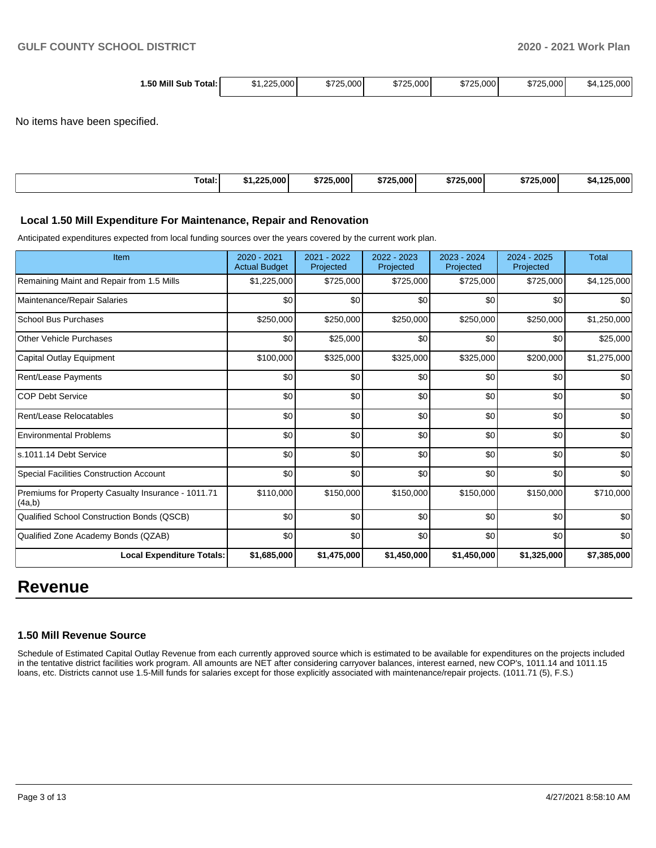|                           | ∩ ⊿                     |           |           |           |           | 12F            |
|---------------------------|-------------------------|-----------|-----------|-----------|-----------|----------------|
| 1.50 Mill Sub<br>Total: I | 225.000<br>$\cdot$<br>. | \$725,000 | \$725,000 | \$725,000 | \$725,000 | 125.000<br>\$4 |
|                           |                         |           |           |           |           |                |

No items have been specified.

| Total: | ا 225.000. | \$725,000 | \$725,000 | \$725.000<br>$\mathbf{v}$ | \$725,000 | .000<br>$\overline{10}$<br>Ъ4 |
|--------|------------|-----------|-----------|---------------------------|-----------|-------------------------------|

#### **Local 1.50 Mill Expenditure For Maintenance, Repair and Renovation**

Anticipated expenditures expected from local funding sources over the years covered by the current work plan.

| Item                                                         | 2020 - 2021<br><b>Actual Budget</b> | 2021 - 2022<br>Projected | 2022 - 2023<br>Projected | $2023 - 2024$<br>Projected | 2024 - 2025<br>Projected | <b>Total</b> |
|--------------------------------------------------------------|-------------------------------------|--------------------------|--------------------------|----------------------------|--------------------------|--------------|
| Remaining Maint and Repair from 1.5 Mills                    | \$1,225,000                         | \$725,000                | \$725,000                | \$725,000                  | \$725,000                | \$4,125,000  |
| Maintenance/Repair Salaries                                  | \$0                                 | \$0                      | \$0                      | \$0                        | \$0                      | \$0          |
| <b>School Bus Purchases</b>                                  | \$250,000                           | \$250,000                | \$250,000                | \$250,000                  | \$250,000                | \$1,250,000  |
| <b>Other Vehicle Purchases</b>                               | \$0                                 | \$25,000                 | \$0                      | \$0                        | \$0                      | \$25,000     |
| Capital Outlay Equipment                                     | \$100,000                           | \$325,000                | \$325,000                | \$325,000                  | \$200,000                | \$1,275,000  |
| Rent/Lease Payments                                          | \$0                                 | \$0                      | \$0                      | \$0                        | \$0                      | \$0          |
| <b>COP Debt Service</b>                                      | \$0                                 | \$0                      | \$0                      | \$0                        | \$0                      | \$0          |
| Rent/Lease Relocatables                                      | \$0                                 | \$0                      | \$0                      | \$0                        | \$0                      | \$0          |
| <b>Environmental Problems</b>                                | \$0                                 | \$0                      | \$0                      | \$0                        | \$0                      | \$0          |
| s.1011.14 Debt Service                                       | \$0                                 | \$0                      | \$0                      | \$0                        | \$0                      | \$0          |
| <b>Special Facilities Construction Account</b>               | \$0                                 | \$0                      | \$0                      | \$0                        | \$0                      | \$0          |
| Premiums for Property Casualty Insurance - 1011.71<br>(4a,b) | \$110,000                           | \$150,000                | \$150,000                | \$150,000                  | \$150,000                | \$710,000    |
| Qualified School Construction Bonds (QSCB)                   | \$0                                 | \$0                      | \$0                      | \$0                        | \$0                      | \$0          |
| Qualified Zone Academy Bonds (QZAB)                          | \$0                                 | \$0                      | \$0                      | \$0                        | \$0                      | \$0          |
| <b>Local Expenditure Totals:</b>                             | \$1,685,000                         | \$1,475,000              | \$1,450,000              | \$1,450,000                | \$1,325,000              | \$7,385,000  |

## **Revenue**

## **1.50 Mill Revenue Source**

Schedule of Estimated Capital Outlay Revenue from each currently approved source which is estimated to be available for expenditures on the projects included in the tentative district facilities work program. All amounts are NET after considering carryover balances, interest earned, new COP's, 1011.14 and 1011.15 loans, etc. Districts cannot use 1.5-Mill funds for salaries except for those explicitly associated with maintenance/repair projects. (1011.71 (5), F.S.)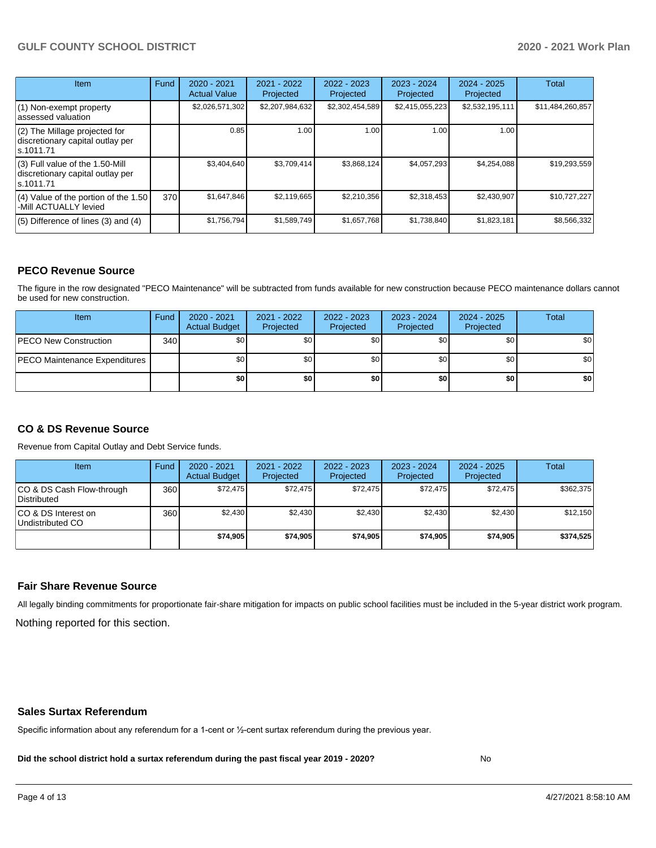## **GULF COUNTY SCHOOL DISTRICT 2020 - 2021 Work Plan**

| Item                                                                                | Fund | $2020 - 2021$<br><b>Actual Value</b> | $2021 - 2022$<br>Projected | $2022 - 2023$<br>Projected | 2023 - 2024<br>Projected | $2024 - 2025$<br>Projected | <b>Total</b>     |
|-------------------------------------------------------------------------------------|------|--------------------------------------|----------------------------|----------------------------|--------------------------|----------------------------|------------------|
| $(1)$ Non-exempt property<br>lassessed valuation                                    |      | \$2,026,571,302                      | \$2,207,984,632            | \$2,302,454,589            | \$2,415,055,223          | \$2,532,195,111            | \$11,484,260,857 |
| $(2)$ The Millage projected for<br>discretionary capital outlay per<br>ls.1011.71   |      | 0.85                                 | 1.00                       | 1.00                       | 1.00                     | 1.00                       |                  |
| $(3)$ Full value of the 1.50-Mill<br>discretionary capital outlay per<br>ls.1011.71 |      | \$3,404,640                          | \$3,709,414                | \$3,868,124                | \$4,057,293              | \$4,254,088                | \$19,293,559     |
| $(4)$ Value of the portion of the 1.50<br>-Mill ACTUALLY levied                     | 370I | \$1,647,846                          | \$2,119,665                | \$2,210,356                | \$2,318,453              | \$2,430,907                | \$10,727,227     |
| $(5)$ Difference of lines $(3)$ and $(4)$                                           |      | \$1,756,794                          | \$1,589,749                | \$1,657,768                | \$1,738,840              | \$1,823,181                | \$8,566,332      |

## **PECO Revenue Source**

The figure in the row designated "PECO Maintenance" will be subtracted from funds available for new construction because PECO maintenance dollars cannot be used for new construction.

| Item                                 | Fund | $2020 - 2021$<br><b>Actual Budget</b> | 2021 - 2022<br>Projected | 2022 - 2023<br>Projected | 2023 - 2024<br>Projected | $2024 - 2025$<br>Projected | Total            |
|--------------------------------------|------|---------------------------------------|--------------------------|--------------------------|--------------------------|----------------------------|------------------|
| <b>PECO New Construction</b>         | 340  | \$0                                   | \$0 <sub>1</sub>         | \$0                      | \$0 <sub>1</sub>         | \$0 <sub>1</sub>           | \$0 <sub>1</sub> |
| <b>PECO Maintenance Expenditures</b> |      | ا 30                                  | \$٥Ι                     | \$0                      | \$0 <sub>1</sub>         | \$0                        | \$0              |
|                                      |      | \$0                                   | \$0                      | \$0                      | \$0                      | \$0                        | \$0              |

## **CO & DS Revenue Source**

Revenue from Capital Outlay and Debt Service funds.

| <b>Item</b>                               | Fund | $2020 - 2021$<br><b>Actual Budget</b> | 2021 - 2022<br>Projected | 2022 - 2023<br>Projected | $2023 - 2024$<br>Projected | $2024 - 2025$<br>Projected | Total     |
|-------------------------------------------|------|---------------------------------------|--------------------------|--------------------------|----------------------------|----------------------------|-----------|
| ICO & DS Cash Flow-through<br>Distributed | 360  | \$72.475                              | \$72.475                 | \$72.475                 | \$72.475                   | \$72,475                   | \$362,375 |
| ICO & DS Interest on<br>Undistributed CO  | 360  | \$2.430                               | \$2.430                  | \$2.430                  | \$2.430                    | \$2,430                    | \$12,150  |
|                                           |      | \$74,905                              | \$74.905                 | \$74.905                 | \$74.905                   | \$74,905                   | \$374,525 |

## **Fair Share Revenue Source**

Nothing reported for this section. All legally binding commitments for proportionate fair-share mitigation for impacts on public school facilities must be included in the 5-year district work program.

#### **Sales Surtax Referendum**

Specific information about any referendum for a 1-cent or ½-cent surtax referendum during the previous year.

**Did the school district hold a surtax referendum during the past fiscal year 2019 - 2020?**

No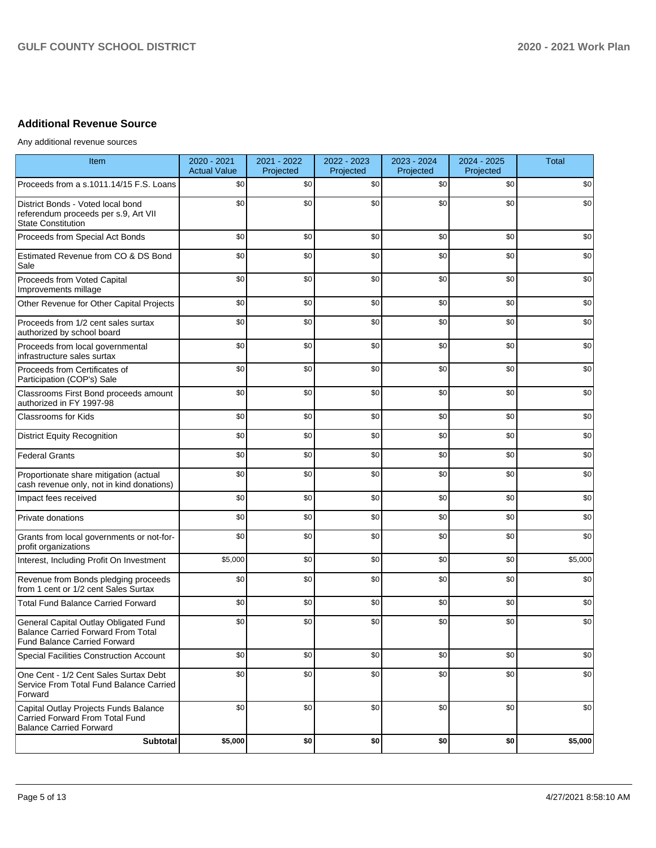## **Additional Revenue Source**

Any additional revenue sources

| Item                                                                                                                      | 2020 - 2021<br><b>Actual Value</b> | 2021 - 2022<br>Projected | 2022 - 2023<br>Projected | 2023 - 2024<br>Projected | 2024 - 2025<br>Projected | <b>Total</b> |
|---------------------------------------------------------------------------------------------------------------------------|------------------------------------|--------------------------|--------------------------|--------------------------|--------------------------|--------------|
| Proceeds from a s.1011.14/15 F.S. Loans                                                                                   | \$0                                | \$0                      | \$0                      | \$0                      | \$0                      | \$0          |
| District Bonds - Voted local bond<br>referendum proceeds per s.9, Art VII<br><b>State Constitution</b>                    | \$0                                | \$0                      | \$0                      | \$0                      | \$0                      | \$0          |
| Proceeds from Special Act Bonds                                                                                           | \$0                                | \$0                      | \$0                      | \$0                      | \$0                      | \$0          |
| Estimated Revenue from CO & DS Bond<br>Sale                                                                               | \$0                                | \$0                      | \$0                      | \$0                      | \$0                      | \$0          |
| Proceeds from Voted Capital<br>Improvements millage                                                                       | \$0                                | \$0                      | \$0                      | \$0                      | \$0                      | \$0          |
| Other Revenue for Other Capital Projects                                                                                  | \$0                                | \$0                      | \$0                      | \$0                      | \$0                      | \$0          |
| Proceeds from 1/2 cent sales surtax<br>authorized by school board                                                         | \$0                                | \$0                      | \$0                      | \$0                      | \$0                      | \$0          |
| Proceeds from local governmental<br>infrastructure sales surtax                                                           | \$0                                | \$0                      | \$0                      | \$0                      | \$0                      | \$0          |
| Proceeds from Certificates of<br>Participation (COP's) Sale                                                               | \$0                                | \$0                      | \$0                      | \$0                      | \$0                      | \$0          |
| Classrooms First Bond proceeds amount<br>authorized in FY 1997-98                                                         | \$0                                | \$0                      | \$0                      | \$0                      | \$0                      | \$0          |
| <b>Classrooms for Kids</b>                                                                                                | \$0                                | \$0                      | \$0                      | \$0                      | \$0                      | \$0          |
| <b>District Equity Recognition</b>                                                                                        | \$0                                | \$0                      | \$0                      | \$0                      | \$0                      | \$0          |
| <b>Federal Grants</b>                                                                                                     | \$0                                | \$0                      | \$0                      | \$0                      | \$0                      | \$0          |
| Proportionate share mitigation (actual<br>cash revenue only, not in kind donations)                                       | \$0                                | \$0                      | \$0                      | \$0                      | \$0                      | \$0          |
| Impact fees received                                                                                                      | \$0                                | \$0                      | \$0                      | \$0                      | \$0                      | \$0          |
| Private donations                                                                                                         | \$0                                | \$0                      | \$0                      | \$0                      | \$0                      | \$0          |
| Grants from local governments or not-for-<br>profit organizations                                                         | \$0                                | \$0                      | \$0                      | \$0                      | \$0                      | \$0          |
| Interest, Including Profit On Investment                                                                                  | \$5,000                            | \$0                      | \$0                      | \$0                      | \$0                      | \$5,000      |
| Revenue from Bonds pledging proceeds<br>from 1 cent or 1/2 cent Sales Surtax                                              | \$0                                | \$0                      | \$0                      | \$0                      | \$0                      | \$0          |
| <b>Total Fund Balance Carried Forward</b>                                                                                 | \$0                                | \$0                      | \$0                      | \$0                      | \$0                      | \$0          |
| General Capital Outlay Obligated Fund<br><b>Balance Carried Forward From Total</b><br><b>Fund Balance Carried Forward</b> | \$0                                | \$0                      | \$0                      | \$0                      | \$0                      | \$0          |
| Special Facilities Construction Account                                                                                   | \$0                                | \$0                      | \$0                      | \$0                      | \$0                      | \$0          |
| One Cent - 1/2 Cent Sales Surtax Debt<br>Service From Total Fund Balance Carried<br>Forward                               | \$0                                | \$0                      | \$0                      | \$0                      | \$0                      | \$0          |
| Capital Outlay Projects Funds Balance<br>Carried Forward From Total Fund<br><b>Balance Carried Forward</b>                | \$0                                | \$0                      | \$0                      | \$0                      | \$0                      | \$0          |
| Subtotal                                                                                                                  | \$5,000                            | \$0                      | \$0                      | \$0                      | \$0                      | \$5,000      |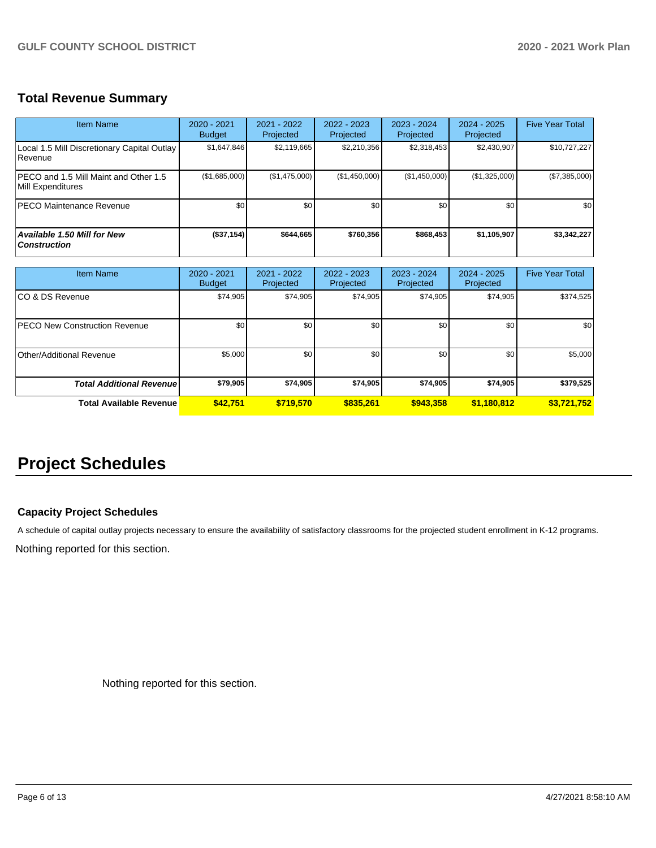## **Total Revenue Summary**

| <b>Item Name</b>                                              | $2020 - 2021$<br><b>Budget</b> | $2021 - 2022$<br>Projected | $2022 - 2023$<br>Projected | $2023 - 2024$<br>Projected | $2024 - 2025$<br>Projected | <b>Five Year Total</b> |
|---------------------------------------------------------------|--------------------------------|----------------------------|----------------------------|----------------------------|----------------------------|------------------------|
| Local 1.5 Mill Discretionary Capital Outlay<br><b>Revenue</b> | \$1,647,846                    | \$2,119,665                | \$2,210,356                | \$2,318,453                | \$2,430,907                | \$10,727,227           |
| PECO and 1.5 Mill Maint and Other 1.5<br>Mill Expenditures    | (\$1,685,000)                  | (\$1,475,000)              | (\$1,450,000)              | (\$1,450,000)              | (\$1,325,000)              | (\$7,385,000)          |
| <b>PECO Maintenance Revenue</b>                               | \$0                            | \$0 <sub>1</sub>           | \$0                        | \$0                        | \$0                        | \$0                    |
| Available 1.50 Mill for New<br><b>Construction</b>            | (\$37,154)                     | \$644.665                  | \$760,356                  | \$868,453                  | \$1,105,907                | \$3,342,227            |

| <b>Item Name</b>                     | 2020 - 2021<br><b>Budget</b> | $2021 - 2022$<br>Projected | 2022 - 2023<br><b>Projected</b> | 2023 - 2024<br>Projected | 2024 - 2025<br>Projected | <b>Five Year Total</b> |
|--------------------------------------|------------------------------|----------------------------|---------------------------------|--------------------------|--------------------------|------------------------|
| ICO & DS Revenue                     | \$74,905                     | \$74,905                   | \$74,905                        | \$74,905                 | \$74,905                 | \$374,525              |
| <b>PECO New Construction Revenue</b> | \$0                          | \$0 <sub>1</sub>           | \$0                             | \$0                      | \$0                      | \$0                    |
| Other/Additional Revenue             | \$5,000                      | \$0 <sub>1</sub>           | \$0                             | \$0                      | \$0                      | \$5,000                |
| <b>Total Additional Revenue</b>      | \$79,905                     | \$74.905                   | \$74,905                        | \$74,905                 | \$74.905                 | \$379,525              |
| <b>Total Available Revenue</b>       | \$42,751                     | \$719.570                  | \$835.261                       | \$943,358                | \$1,180,812              | \$3,721,752            |

## **Project Schedules**

## **Capacity Project Schedules**

A schedule of capital outlay projects necessary to ensure the availability of satisfactory classrooms for the projected student enrollment in K-12 programs.

Nothing reported for this section.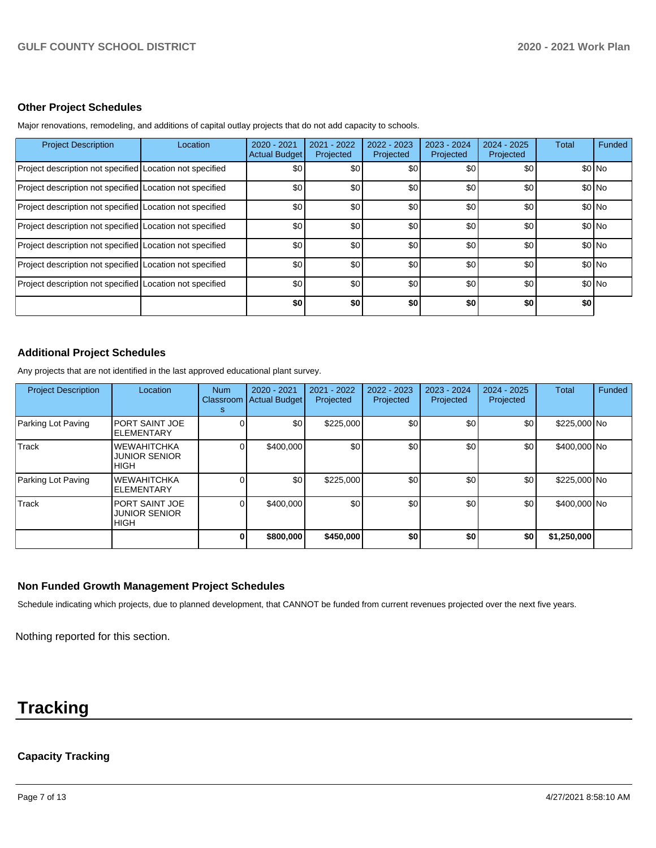## **Other Project Schedules**

Major renovations, remodeling, and additions of capital outlay projects that do not add capacity to schools.

| <b>Project Description</b>                               | Location | 2020 - 2021<br><b>Actual Budget</b> | 2021 - 2022<br>Projected | 2022 - 2023<br>Projected | 2023 - 2024<br>Projected | $2024 - 2025$<br>Projected | Total | Funded |
|----------------------------------------------------------|----------|-------------------------------------|--------------------------|--------------------------|--------------------------|----------------------------|-------|--------|
| Project description not specified Location not specified |          | \$0                                 | \$0                      | \$0                      | \$0                      | \$0                        |       | \$0 No |
| Project description not specified Location not specified |          | \$0                                 | \$0                      | \$0                      | \$0                      | \$0                        |       | \$0 No |
| Project description not specified Location not specified |          | \$0                                 | \$0                      | \$0                      | \$0                      | \$0                        |       | \$0 No |
| Project description not specified Location not specified |          | \$0                                 | \$0                      | \$0                      | \$0                      | \$0                        |       | \$0 No |
| Project description not specified Location not specified |          | \$0                                 | \$0                      | \$0                      | \$0                      | \$0                        |       | \$0 No |
| Project description not specified Location not specified |          | \$0                                 | \$0                      | \$0                      | \$0                      | \$0                        |       | \$0 No |
| Project description not specified Location not specified |          | \$0                                 | \$0                      | \$0                      | \$0                      | \$0                        |       | \$0 No |
|                                                          |          | \$0                                 | \$0                      | \$0                      | \$0                      | \$0                        | \$0   |        |

## **Additional Project Schedules**

Any projects that are not identified in the last approved educational plant survey.

| <b>Project Description</b> | Location                                                  | <b>Num</b><br><b>Classroom</b><br>s | 2020 - 2021<br><b>Actual Budget</b> | 2021 - 2022<br>Projected | 2022 - 2023<br>Projected | 2023 - 2024<br>Projected | $2024 - 2025$<br>Projected | Total        | Funded |
|----------------------------|-----------------------------------------------------------|-------------------------------------|-------------------------------------|--------------------------|--------------------------|--------------------------|----------------------------|--------------|--------|
| Parking Lot Paving         | <b>PORT SAINT JOE</b><br><b>ELEMENTARY</b>                |                                     | \$0                                 | \$225,000                | \$0                      | \$0                      | \$0                        | \$225,000 No |        |
| Track                      | <b>WEWAHITCHKA</b><br><b>JUNIOR SENIOR</b><br><b>HIGH</b> |                                     | \$400,000                           | \$0                      | \$0                      | \$0                      | \$0                        | \$400,000 No |        |
| Parking Lot Paving         | <b>WEWAHITCHKA</b><br><b>ELEMENTARY</b>                   |                                     | \$0                                 | \$225,000                | \$0                      | \$0                      | \$0                        | \$225,000 No |        |
| <b>Track</b>               | PORT SAINT JOE<br><b>JUNIOR SENIOR</b><br><b>HIGH</b>     |                                     | \$400,000                           | \$0                      | \$0                      | \$0                      | \$0                        | \$400,000 No |        |
|                            |                                                           |                                     | \$800,000                           | \$450,000                | \$0                      | \$0                      | \$0                        | \$1,250,000  |        |

## **Non Funded Growth Management Project Schedules**

Schedule indicating which projects, due to planned development, that CANNOT be funded from current revenues projected over the next five years.

Nothing reported for this section.

## **Tracking**

## **Capacity Tracking**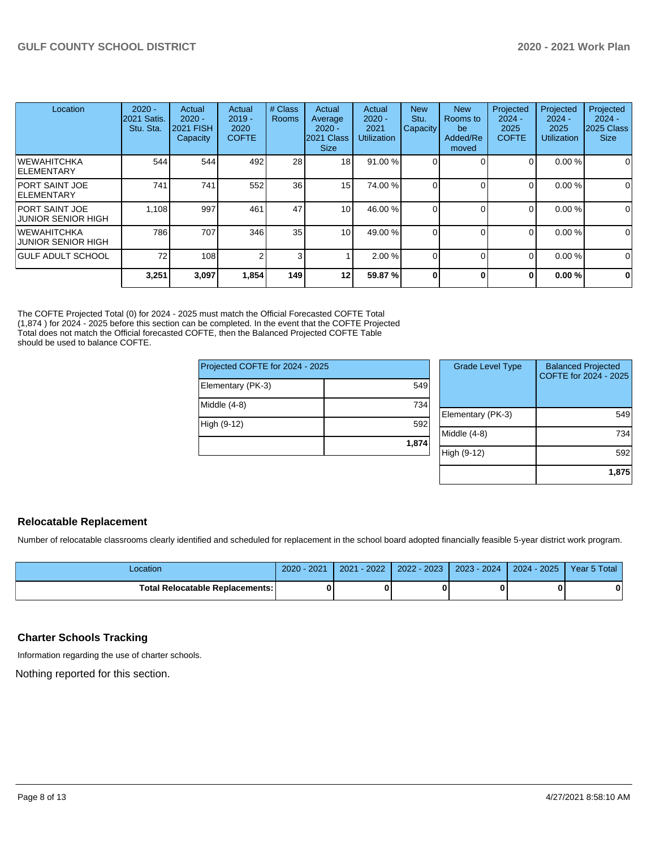| Location                                        | $2020 -$<br><b>2021 Satis.</b><br>Stu. Sta. | Actual<br>$2020 -$<br><b>2021 FISH</b><br>Capacity | Actual<br>$2019 -$<br>2020<br><b>COFTE</b> | # Class<br><b>Rooms</b> | Actual<br>Average<br>$2020 -$<br>2021 Class<br><b>Size</b> | Actual<br>$2020 -$<br>2021<br><b>Utilization</b> | <b>New</b><br>Stu.<br>Capacity | <b>New</b><br>Rooms to<br>be<br>Added/Re<br>moved | Projected<br>$2024 -$<br>2025<br><b>COFTE</b> | Projected<br>$2024 -$<br>2025<br><b>Utilization</b> | Projected<br>$2024 -$<br>2025 Class<br><b>Size</b> |
|-------------------------------------------------|---------------------------------------------|----------------------------------------------------|--------------------------------------------|-------------------------|------------------------------------------------------------|--------------------------------------------------|--------------------------------|---------------------------------------------------|-----------------------------------------------|-----------------------------------------------------|----------------------------------------------------|
| <b>WEWAHITCHKA</b><br><b>ELEMENTARY</b>         | 544                                         | 544                                                | 492                                        | 28                      | 18                                                         | 91.00 %                                          |                                | $\Omega$                                          | 0                                             | 0.00%                                               | 0                                                  |
| <b>PORT SAINT JOE</b><br><b>ELEMENTARY</b>      | 741                                         | 741                                                | 552                                        | 36 <sup>1</sup>         | 15                                                         | 74.00 %                                          |                                | $\Omega$                                          | 0                                             | 0.00%                                               | 0                                                  |
| <b>PORT SAINT JOE</b><br>JUNIOR SENIOR HIGH     | 1,108                                       | 997                                                | 461                                        | 47                      | 10                                                         | 46.00 %                                          |                                | 0                                                 | 0                                             | 0.00%                                               | 0                                                  |
| <b>WEWAHITCHKA</b><br><b>JUNIOR SENIOR HIGH</b> | 786                                         | 707                                                | 346                                        | 35                      | 10                                                         | 49.00 %                                          |                                | $\Omega$                                          | 0                                             | 0.00%                                               | 0                                                  |
| <b>GULF ADULT SCHOOL</b>                        | 72                                          | 108                                                |                                            | 3 <sup>1</sup>          |                                                            | 2.00 %                                           |                                | $\Omega$                                          | 0                                             | 0.00%                                               | $\mathbf 0$                                        |
|                                                 | 3,251                                       | 3.097                                              | 1,854                                      | 149                     | 12                                                         | 59.87%                                           | 0                              | 0                                                 | $\bf{0}$                                      | 0.00%                                               | $\mathbf 0$                                        |

The COFTE Projected Total (0) for 2024 - 2025 must match the Official Forecasted COFTE Total (1,874 ) for 2024 - 2025 before this section can be completed. In the event that the COFTE Projected Total does not match the Official forecasted COFTE, then the Balanced Projected COFTE Table should be used to balance COFTE.

| Projected COFTE for 2024 - 2025 |       |  |  |  |  |
|---------------------------------|-------|--|--|--|--|
| Elementary (PK-3)               | 549   |  |  |  |  |
| Middle (4-8)                    | 734   |  |  |  |  |
| High (9-12)                     | 592   |  |  |  |  |
|                                 | 1,874 |  |  |  |  |

| <b>Grade Level Type</b> | <b>Balanced Projected</b><br>COFTE for 2024 - 2025 |
|-------------------------|----------------------------------------------------|
| Elementary (PK-3)       | 549                                                |
| Middle $(4-8)$          | 734                                                |
| High (9-12)             | 592                                                |
|                         | 1,875                                              |

## **Relocatable Replacement**

Number of relocatable classrooms clearly identified and scheduled for replacement in the school board adopted financially feasible 5-year district work program.

| Location                               | $-2021$<br>$2020 -$ | 2021 - 2022 | $2022 - 2023$ | $2023 - 2024$ | 2024 - 2025 | Year 5 Total |
|----------------------------------------|---------------------|-------------|---------------|---------------|-------------|--------------|
| <b>Total Relocatable Replacements:</b> |                     |             |               | o             |             |              |

## **Charter Schools Tracking**

Information regarding the use of charter schools.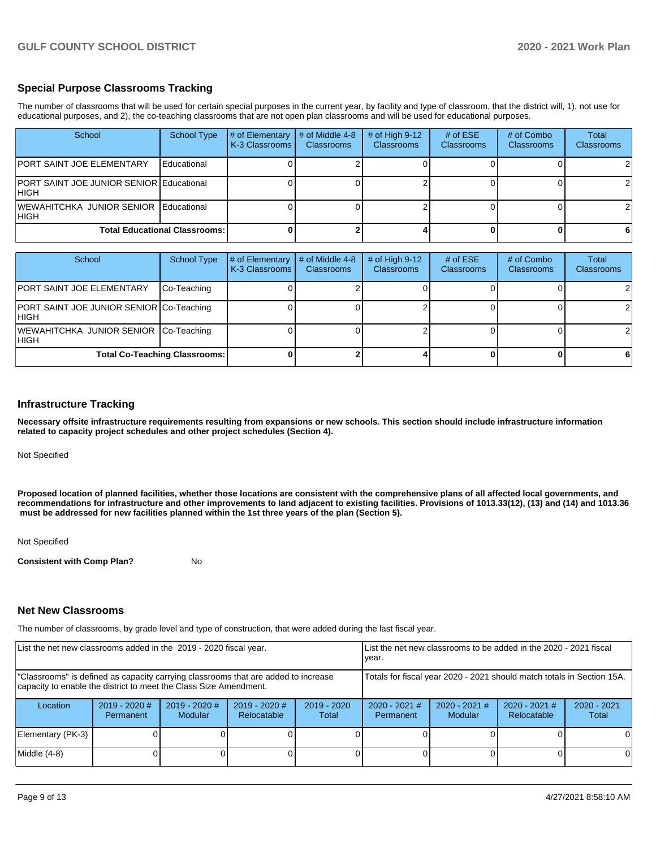## **Special Purpose Classrooms Tracking**

The number of classrooms that will be used for certain special purposes in the current year, by facility and type of classroom, that the district will, 1), not use for educational purposes, and 2), the co-teaching classrooms that are not open plan classrooms and will be used for educational purposes.

| School                                                     | School Type | # of Elementary<br>K-3 Classrooms | # of Middle 4-8<br><b>Classrooms</b> | # of High $9-12$<br><b>Classrooms</b> | # of $ESE$<br><b>Classrooms</b> | # of Combo<br><b>Classrooms</b> | Total<br><b>Classrooms</b> |
|------------------------------------------------------------|-------------|-----------------------------------|--------------------------------------|---------------------------------------|---------------------------------|---------------------------------|----------------------------|
| <b>IPORT SAINT JOE ELEMENTARY</b>                          | Educational |                                   |                                      |                                       |                                 |                                 | $\overline{2}$             |
| <b>PORT SAINT JOE JUNIOR SENIOR I Educational</b><br>IHIGH |             |                                   |                                      |                                       |                                 |                                 | 21                         |
| <b>IWEWAHITCHKA JUNIOR SENIOR Educational</b><br> HIGH     |             |                                   |                                      |                                       |                                 |                                 | $\overline{2}$             |
| <b>Total Educational Classrooms:</b>                       |             |                                   |                                      |                                       |                                 |                                 | 61                         |

| School                                                   | <b>School Type</b>                   | # of Elementary<br>K-3 Classrooms | $#$ of Middle 4-8<br><b>Classrooms</b> | # of High $9-12$<br><b>Classrooms</b> | # of $ESE$<br><b>Classrooms</b> | # of Combo<br><b>Classrooms</b> | Total<br>Classrooms |
|----------------------------------------------------------|--------------------------------------|-----------------------------------|----------------------------------------|---------------------------------------|---------------------------------|---------------------------------|---------------------|
| <b>PORT SAINT JOE ELEMENTARY</b>                         | Co-Teaching                          |                                   |                                        |                                       |                                 |                                 | 2                   |
| <b>PORT SAINT JOE JUNIOR SENIOR Co-Teaching</b><br> HIGH |                                      |                                   |                                        |                                       |                                 |                                 | 2                   |
| <b>IWEWAHITCHKA JUNIOR SENIOR Co-Teaching</b><br>IHIGH.  |                                      |                                   |                                        |                                       |                                 |                                 | 2                   |
|                                                          | <b>Total Co-Teaching Classrooms:</b> |                                   |                                        |                                       |                                 |                                 | -6                  |

#### **Infrastructure Tracking**

**Necessary offsite infrastructure requirements resulting from expansions or new schools. This section should include infrastructure information related to capacity project schedules and other project schedules (Section 4).** 

Not Specified

**Proposed location of planned facilities, whether those locations are consistent with the comprehensive plans of all affected local governments, and recommendations for infrastructure and other improvements to land adjacent to existing facilities. Provisions of 1013.33(12), (13) and (14) and 1013.36 must be addressed for new facilities planned within the 1st three years of the plan (Section 5).** 

Not Specified

**Consistent with Comp Plan?** No

#### **Net New Classrooms**

The number of classrooms, by grade level and type of construction, that were added during the last fiscal year.

| List the net new classrooms added in the 2019 - 2020 fiscal year. |                                                                                                                                                         |                                   | List the net new classrooms to be added in the 2020 - 2021 fiscal<br>year. |                        |                              |                                                                        |                                       |                        |  |
|-------------------------------------------------------------------|---------------------------------------------------------------------------------------------------------------------------------------------------------|-----------------------------------|----------------------------------------------------------------------------|------------------------|------------------------------|------------------------------------------------------------------------|---------------------------------------|------------------------|--|
|                                                                   | "Classrooms" is defined as capacity carrying classrooms that are added to increase<br>capacity to enable the district to meet the Class Size Amendment. |                                   |                                                                            |                        |                              | Totals for fiscal year 2020 - 2021 should match totals in Section 15A. |                                       |                        |  |
| Location                                                          | $2019 - 2020$ #<br>Permanent                                                                                                                            | $2019 - 2020$ #<br><b>Modular</b> | $2019 - 2020$ #<br>Relocatable                                             | $2019 - 2020$<br>Total | $2020 - 2021$ #<br>Permanent | $2020 - 2021$ #<br>Modular                                             | $2020 - 2021$ #<br><b>Relocatable</b> | $2020 - 2021$<br>Total |  |
| Elementary (PK-3)                                                 |                                                                                                                                                         |                                   |                                                                            |                        |                              |                                                                        |                                       |                        |  |
| Middle (4-8)                                                      |                                                                                                                                                         |                                   |                                                                            |                        |                              |                                                                        |                                       | 0                      |  |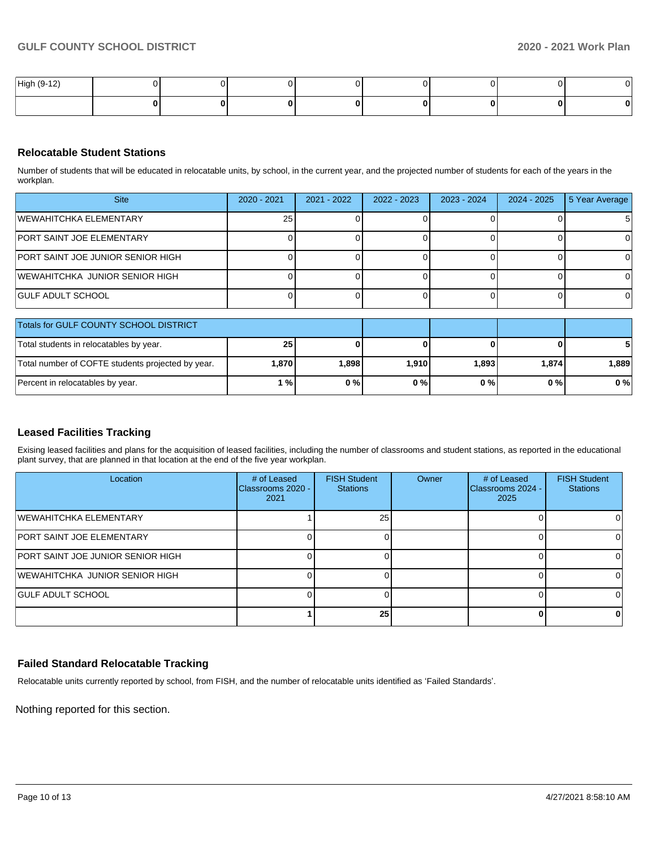| High (9-12) |  |  |  |   |  |
|-------------|--|--|--|---|--|
|             |  |  |  | 0 |  |

## **Relocatable Student Stations**

Number of students that will be educated in relocatable units, by school, in the current year, and the projected number of students for each of the years in the workplan.

| <b>Site</b>                           | $2020 - 2021$   | 2021 - 2022 | 2022 - 2023 | 2023 - 2024 | 2024 - 2025 | 5 Year Average |
|---------------------------------------|-----------------|-------------|-------------|-------------|-------------|----------------|
| <b>IWEWAHITCHKA ELEMENTARY</b>        | 25 <sub>1</sub> |             |             |             |             |                |
| PORT SAINT JOE ELEMENTARY             |                 |             |             |             |             |                |
| PORT SAINT JOE JUNIOR SENIOR HIGH     |                 |             |             |             |             |                |
| <b>WEWAHITCHKA JUNIOR SENIOR HIGH</b> |                 |             |             |             |             |                |
| <b>GULF ADULT SCHOOL</b>              |                 |             |             |             |             |                |

| Totals for GULF COUNTY SCHOOL DISTRICT            |       |       |       |       |       |      |
|---------------------------------------------------|-------|-------|-------|-------|-------|------|
| Total students in relocatables by year.           | 25    |       |       |       |       |      |
| Total number of COFTE students projected by year. | 1.870 | 1.898 | 1.910 | 1.893 | 1.874 | .889 |
| Percent in relocatables by year.                  | 1 % I | 0%    | $0\%$ | 0%    | 0%    | 0%   |

## **Leased Facilities Tracking**

Exising leased facilities and plans for the acquisition of leased facilities, including the number of classrooms and student stations, as reported in the educational plant survey, that are planned in that location at the end of the five year workplan.

| Location                          | # of Leased<br>Classrooms 2020 -<br>2021 | <b>FISH Student</b><br><b>Stations</b> | Owner | # of Leased<br>Classrooms 2024 -<br>2025 | <b>FISH Student</b><br><b>Stations</b> |
|-----------------------------------|------------------------------------------|----------------------------------------|-------|------------------------------------------|----------------------------------------|
| WEWAHITCHKA ELEMENTARY            |                                          | 25                                     |       |                                          |                                        |
| <b>PORT SAINT JOE ELEMENTARY</b>  |                                          |                                        |       |                                          |                                        |
| PORT SAINT JOE JUNIOR SENIOR HIGH |                                          |                                        |       |                                          |                                        |
| IWEWAHITCHKA JUNIOR SENIOR HIGH   |                                          |                                        |       |                                          |                                        |
| <b>GULF ADULT SCHOOL</b>          |                                          |                                        |       |                                          | $\Omega$                               |
|                                   |                                          | 25                                     |       |                                          | 0                                      |

## **Failed Standard Relocatable Tracking**

Relocatable units currently reported by school, from FISH, and the number of relocatable units identified as 'Failed Standards'.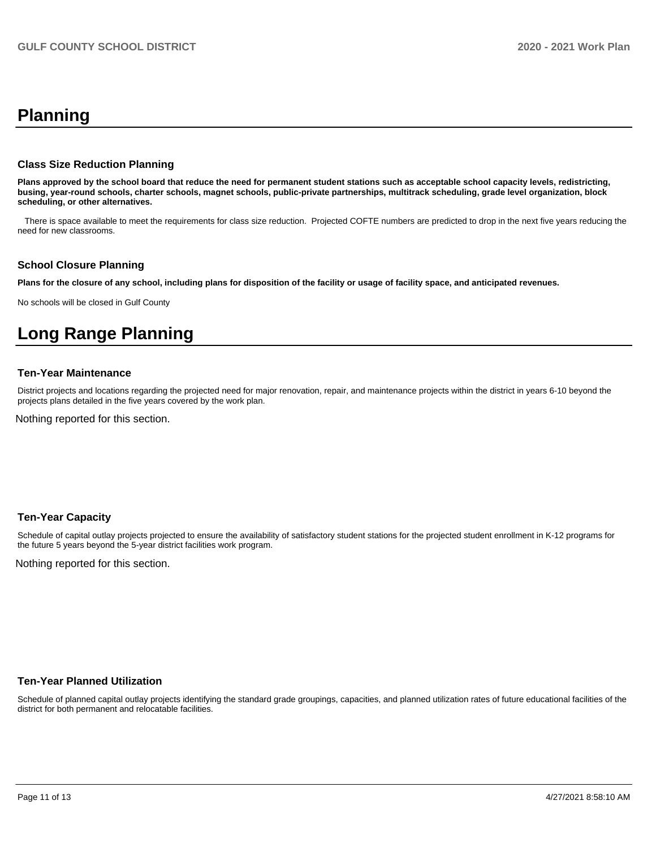## **Planning**

#### **Class Size Reduction Planning**

**Plans approved by the school board that reduce the need for permanent student stations such as acceptable school capacity levels, redistricting, busing, year-round schools, charter schools, magnet schools, public-private partnerships, multitrack scheduling, grade level organization, block scheduling, or other alternatives.**

 There is space available to meet the requirements for class size reduction. Projected COFTE numbers are predicted to drop in the next five years reducing the need for new classrooms.

#### **School Closure Planning**

**Plans for the closure of any school, including plans for disposition of the facility or usage of facility space, and anticipated revenues.** 

No schools will be closed in Gulf County

## **Long Range Planning**

#### **Ten-Year Maintenance**

District projects and locations regarding the projected need for major renovation, repair, and maintenance projects within the district in years 6-10 beyond the projects plans detailed in the five years covered by the work plan.

Nothing reported for this section.

## **Ten-Year Capacity**

Schedule of capital outlay projects projected to ensure the availability of satisfactory student stations for the projected student enrollment in K-12 programs for the future 5 years beyond the 5-year district facilities work program.

Nothing reported for this section.

#### **Ten-Year Planned Utilization**

Schedule of planned capital outlay projects identifying the standard grade groupings, capacities, and planned utilization rates of future educational facilities of the district for both permanent and relocatable facilities.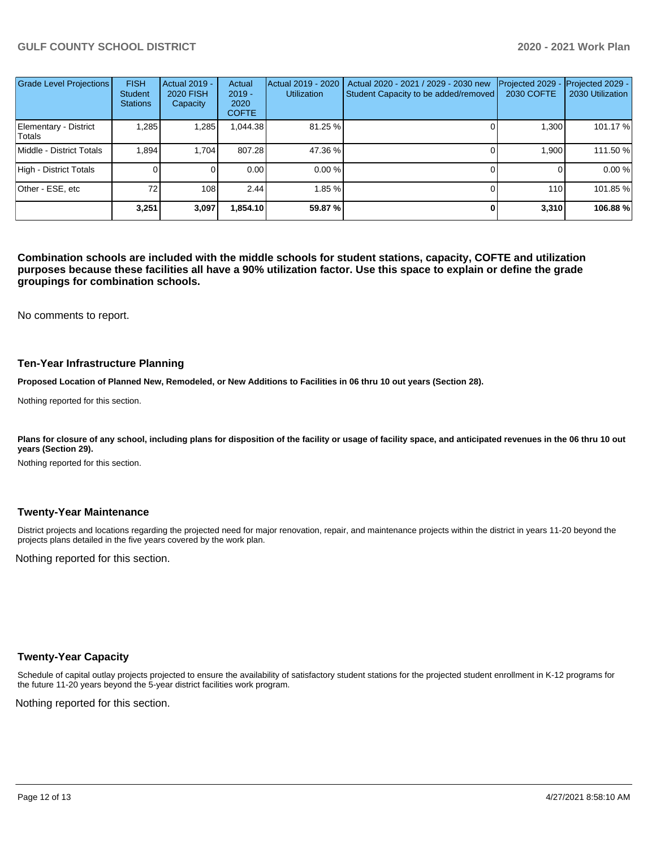| <b>Grade Level Projections</b>  | <b>FISH</b><br><b>Student</b><br><b>Stations</b> | Actual 2019 -<br><b>2020 FISH</b><br>Capacity | Actual<br>$2019 -$<br>2020<br><b>COFTE</b> | Actual 2019 - 2020<br><b>Utilization</b> | Actual 2020 - 2021 / 2029 - 2030 new<br>Student Capacity to be added/removed | Projected 2029<br><b>2030 COFTE</b> | Projected 2029 -<br>2030 Utilization |
|---------------------------------|--------------------------------------------------|-----------------------------------------------|--------------------------------------------|------------------------------------------|------------------------------------------------------------------------------|-------------------------------------|--------------------------------------|
| Elementary - District<br>Totals | 1,285                                            | 1,285                                         | .044.38                                    | 81.25 %                                  |                                                                              | 1,300                               | 101.17 %                             |
| Middle - District Totals        | 1.894                                            | 1.704                                         | 807.28                                     | 47.36 %                                  |                                                                              | 1,900                               | 111.50 %                             |
| High - District Totals          |                                                  |                                               | 0.00                                       | $0.00\%$                                 |                                                                              |                                     | 0.00 %                               |
| Other - ESE, etc                | 72                                               | 108                                           | 2.44                                       | 1.85 %                                   |                                                                              | 110 l                               | 101.85 %                             |
|                                 | 3,251                                            | 3,097                                         | .854.10                                    | 59.87 %                                  |                                                                              | 3,310                               | 106.88%                              |

**Combination schools are included with the middle schools for student stations, capacity, COFTE and utilization purposes because these facilities all have a 90% utilization factor. Use this space to explain or define the grade groupings for combination schools.** 

No comments to report.

#### **Ten-Year Infrastructure Planning**

**Proposed Location of Planned New, Remodeled, or New Additions to Facilities in 06 thru 10 out years (Section 28).**

Nothing reported for this section.

Plans for closure of any school, including plans for disposition of the facility or usage of facility space, and anticipated revenues in the 06 thru 10 out **years (Section 29).**

Nothing reported for this section.

#### **Twenty-Year Maintenance**

District projects and locations regarding the projected need for major renovation, repair, and maintenance projects within the district in years 11-20 beyond the projects plans detailed in the five years covered by the work plan.

Nothing reported for this section.

## **Twenty-Year Capacity**

Schedule of capital outlay projects projected to ensure the availability of satisfactory student stations for the projected student enrollment in K-12 programs for the future 11-20 years beyond the 5-year district facilities work program.